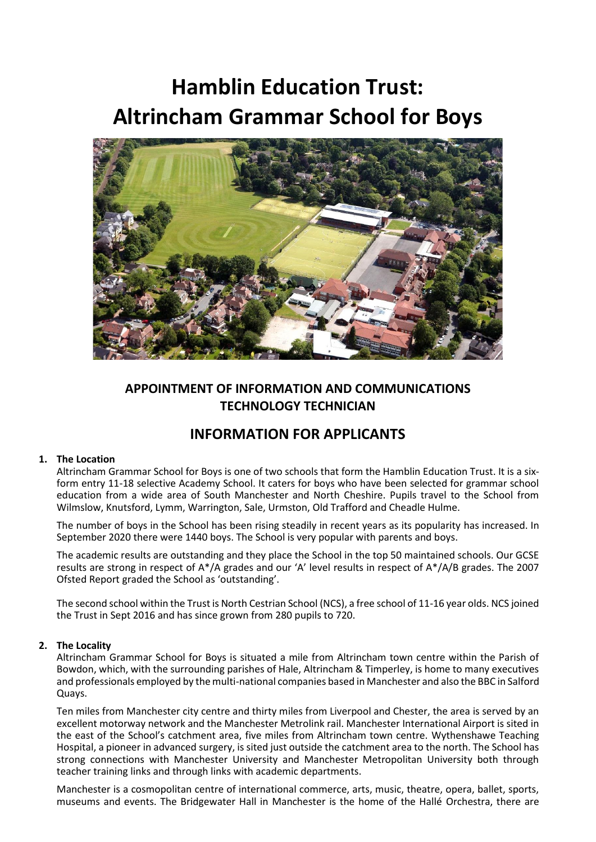# **Hamblin Education Trust: Altrincham Grammar School for Boys**



### **APPOINTMENT OF INFORMATION AND COMMUNICATIONS TECHNOLOGY TECHNICIAN**

## **INFORMATION FOR APPLICANTS**

#### **1. The Location**

Altrincham Grammar School for Boys is one of two schools that form the Hamblin Education Trust. It is a sixform entry 11-18 selective Academy School. It caters for boys who have been selected for grammar school education from a wide area of South Manchester and North Cheshire. Pupils travel to the School from Wilmslow, Knutsford, Lymm, Warrington, Sale, Urmston, Old Trafford and Cheadle Hulme.

The number of boys in the School has been rising steadily in recent years as its popularity has increased. In September 2020 there were 1440 boys. The School is very popular with parents and boys.

The academic results are outstanding and they place the School in the top 50 maintained schools. Our GCSE results are strong in respect of A\*/A grades and our 'A' level results in respect of A\*/A/B grades. The 2007 Ofsted Report graded the School as 'outstanding'.

The second school within the Trust is North Cestrian School (NCS), a free school of 11-16 year olds. NCS joined the Trust in Sept 2016 and has since grown from 280 pupils to 720.

#### **2. The Locality**

Altrincham Grammar School for Boys is situated a mile from Altrincham town centre within the Parish of Bowdon, which, with the surrounding parishes of Hale, Altrincham & Timperley, is home to many executives and professionals employed by the multi-national companies based in Manchester and also the BBC in Salford Quays.

**Ten miles** Ten miles from Manchester city centre and thirty miles from Liverpool and Chester, the area is served by an excellent motorway network and the Manchester Metrolink rail. Manchester International Airport is sited in the east of the School's catchment area, five miles from Altrincham town centre. Wythenshawe Teaching Hospital, a pioneer in advanced surgery, is sited just outside the catchment area to the north. The School has strong connections with Manchester University and Manchester Metropolitan University both through teacher training links and through links with academic departments.

Manchester is a cosmopolitan centre of international commerce, arts, music, theatre, opera, ballet, sports, museums and events. The Bridgewater Hall in Manchester is the home of the Hallé Orchestra, there are